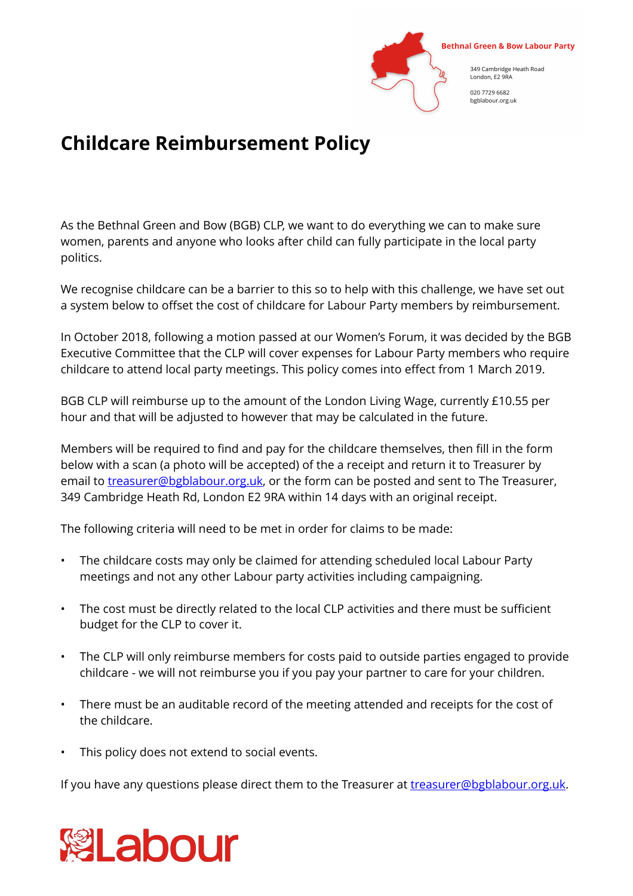

## **Childcare Reimbursement Policy**

As the Bethnal Green and Bow (BGB) CLP, we want to do everything we can to make sure women, parents and anyone who looks after child can fully participate in the local party politics.

We recognise childcare can be a barrier to this so to help with this challenge, we have set out a system below to offset the cost of childcare for Labour Party members by reimbursement.

In October 2018, following a motion passed at our Women's Forum, it was decided by the BGB Executive Committee that the CLP will cover expenses for Labour Party members who require childcare to attend local party meetings. This policy comes into effect from 1 March 2019.

BGB CLP will reimburse up to the amount of the London Living Wage, currently £10.55 per hour and that will be adjusted to however that may be calculated in the future.

Members will be required to find and pay for the childcare themselves, then fill in the form below with a scan (a photo will be accepted) of the a receipt and return it to Treasurer by email to [treasurer@bgblabour.org.uk](mailto:treasurer@bgblabour.org.uk), or the form can be posted and sent to The Treasurer, 349 Cambridge Heath Rd, London E2 9RA within 14 days with an original receipt.

The following criteria will need to be met in order for claims to be made:

- The childcare costs may only be claimed for attending scheduled local Labour Party meetings and not any other Labour party activities including campaigning.
- The cost must be directly related to the local CLP activities and there must be sufficient budget for the CLP to cover it.
- The CLP will only reimburse members for costs paid to outside parties engaged to provide childcare - we will not reimburse you if you pay your partner to care for your children.
- There must be an auditable record of the meeting attended and receipts for the cost of the childcare.
- This policy does not extend to social events.

If you have any questions please direct them to the Treasurer at [treasurer@bgblabour.org.uk](mailto:treasurer@bgblabour.org.uk).